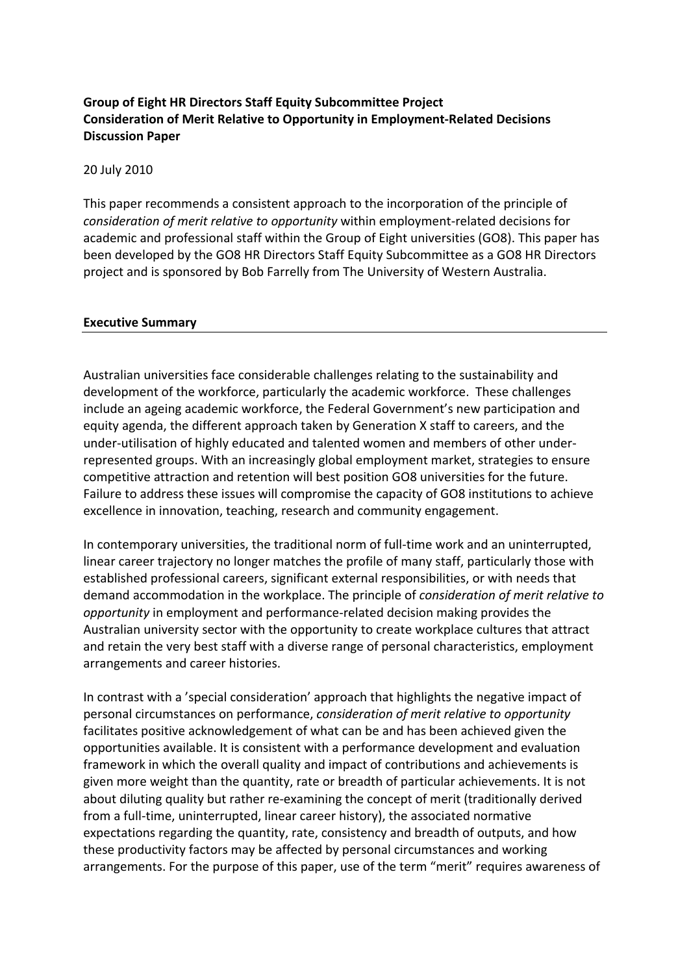# **Group of Eight HR Directors Staff Equity Subcommittee Project Consideration of Merit Relative to Opportunity in Employment‐Related Decisions Discussion Paper**

20 July 2010

This paper recommends a consistent approach to the incorporation of the principle of *consideration of merit relative to opportunity* within employment‐related decisions for academic and professional staff within the Group of Eight universities (GO8). This paper has been developed by the GO8 HR Directors Staff Equity Subcommittee as a GO8 HR Directors project and is sponsored by Bob Farrelly from The University of Western Australia.

#### **Executive Summary**

Australian universities face considerable challenges relating to the sustainability and development of the workforce, particularly the academic workforce. These challenges include an ageing academic workforce, the Federal Government's new participation and equity agenda, the different approach taken by Generation X staff to careers, and the under‐utilisation of highly educated and talented women and members of other under‐ represented groups. With an increasingly global employment market, strategies to ensure competitive attraction and retention will best position GO8 universities for the future. Failure to address these issues will compromise the capacity of GO8 institutions to achieve excellence in innovation, teaching, research and community engagement.

In contemporary universities, the traditional norm of full-time work and an uninterrupted, linear career trajectory no longer matches the profile of many staff, particularly those with established professional careers, significant external responsibilities, or with needs that demand accommodation in the workplace. The principle of *consideration of merit relative to opportunity* in employment and performance‐related decision making provides the Australian university sector with the opportunity to create workplace cultures that attract and retain the very best staff with a diverse range of personal characteristics, employment arrangements and career histories.

In contrast with a 'special consideration' approach that highlights the negative impact of personal circumstances on performance, *consideration of merit relative to opportunity* facilitates positive acknowledgement of what can be and has been achieved given the opportunities available. It is consistent with a performance development and evaluation framework in which the overall quality and impact of contributions and achievements is given more weight than the quantity, rate or breadth of particular achievements. It is not about diluting quality but rather re‐examining the concept of merit (traditionally derived from a full-time, uninterrupted, linear career history), the associated normative expectations regarding the quantity, rate, consistency and breadth of outputs, and how these productivity factors may be affected by personal circumstances and working arrangements. For the purpose of this paper, use of the term "merit" requires awareness of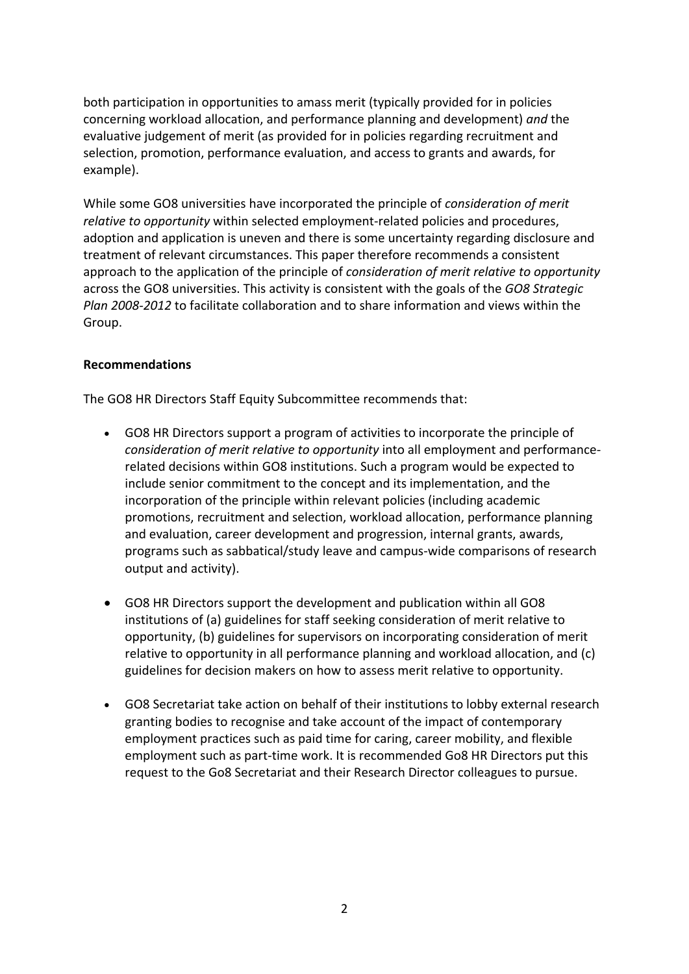both participation in opportunities to amass merit (typically provided for in policies concerning workload allocation, and performance planning and development) *and* the evaluative judgement of merit (as provided for in policies regarding recruitment and selection, promotion, performance evaluation, and access to grants and awards, for example).

While some GO8 universities have incorporated the principle of *consideration of merit relative to opportunity* within selected employment‐related policies and procedures, adoption and application is uneven and there is some uncertainty regarding disclosure and treatment of relevant circumstances. This paper therefore recommends a consistent approach to the application of the principle of *consideration of merit relative to opportunity* across the GO8 universities. This activity is consistent with the goals of the *GO8 Strategic Plan 2008‐2012* to facilitate collaboration and to share information and views within the Group.

## **Recommendations**

The GO8 HR Directors Staff Equity Subcommittee recommends that:

- GO8 HR Directors support a program of activities to incorporate the principle of *consideration of merit relative to opportunity* into all employment and performance‐ related decisions within GO8 institutions. Such a program would be expected to include senior commitment to the concept and its implementation, and the incorporation of the principle within relevant policies (including academic promotions, recruitment and selection, workload allocation, performance planning and evaluation, career development and progression, internal grants, awards, programs such as sabbatical/study leave and campus‐wide comparisons of research output and activity).
- GO8 HR Directors support the development and publication within all GO8 institutions of (a) guidelines for staff seeking consideration of merit relative to opportunity, (b) guidelines for supervisors on incorporating consideration of merit relative to opportunity in all performance planning and workload allocation, and (c) guidelines for decision makers on how to assess merit relative to opportunity.
- GO8 Secretariat take action on behalf of their institutions to lobby external research granting bodies to recognise and take account of the impact of contemporary employment practices such as paid time for caring, career mobility, and flexible employment such as part-time work. It is recommended Go8 HR Directors put this request to the Go8 Secretariat and their Research Director colleagues to pursue.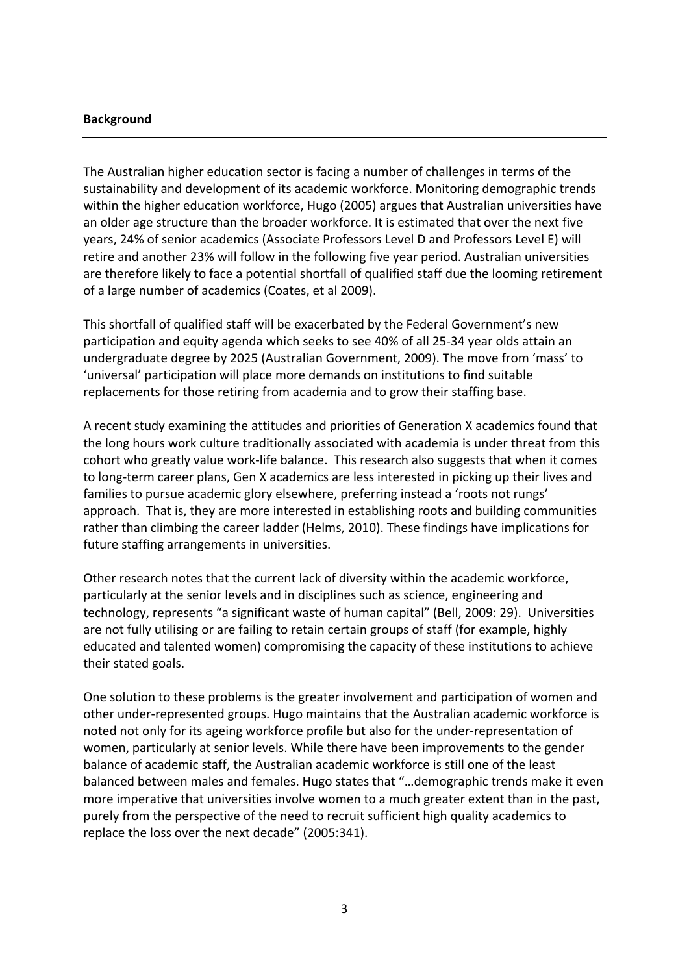### **Background**

The Australian higher education sector is facing a number of challenges in terms of the sustainability and development of its academic workforce. Monitoring demographic trends within the higher education workforce, Hugo (2005) argues that Australian universities have an older age structure than the broader workforce. It is estimated that over the next five years, 24% of senior academics (Associate Professors Level D and Professors Level E) will retire and another 23% will follow in the following five year period. Australian universities are therefore likely to face a potential shortfall of qualified staff due the looming retirement of a large number of academics (Coates, et al 2009).

This shortfall of qualified staff will be exacerbated by the Federal Government's new participation and equity agenda which seeks to see 40% of all 25‐34 year olds attain an undergraduate degree by 2025 (Australian Government, 2009). The move from 'mass' to 'universal' participation will place more demands on institutions to find suitable replacements for those retiring from academia and to grow their staffing base.

A recent study examining the attitudes and priorities of Generation X academics found that the long hours work culture traditionally associated with academia is under threat from this cohort who greatly value work‐life balance. This research also suggests that when it comes to long‐term career plans, Gen X academics are less interested in picking up their lives and families to pursue academic glory elsewhere, preferring instead a 'roots not rungs' approach. That is, they are more interested in establishing roots and building communities rather than climbing the career ladder (Helms, 2010). These findings have implications for future staffing arrangements in universities.

Other research notes that the current lack of diversity within the academic workforce, particularly at the senior levels and in disciplines such as science, engineering and technology, represents "a significant waste of human capital" (Bell, 2009: 29). Universities are not fully utilising or are failing to retain certain groups of staff (for example, highly educated and talented women) compromising the capacity of these institutions to achieve their stated goals.

One solution to these problems is the greater involvement and participation of women and other under‐represented groups. Hugo maintains that the Australian academic workforce is noted not only for its ageing workforce profile but also for the under‐representation of women, particularly at senior levels. While there have been improvements to the gender balance of academic staff, the Australian academic workforce is still one of the least balanced between males and females. Hugo states that "…demographic trends make it even more imperative that universities involve women to a much greater extent than in the past, purely from the perspective of the need to recruit sufficient high quality academics to replace the loss over the next decade" (2005:341).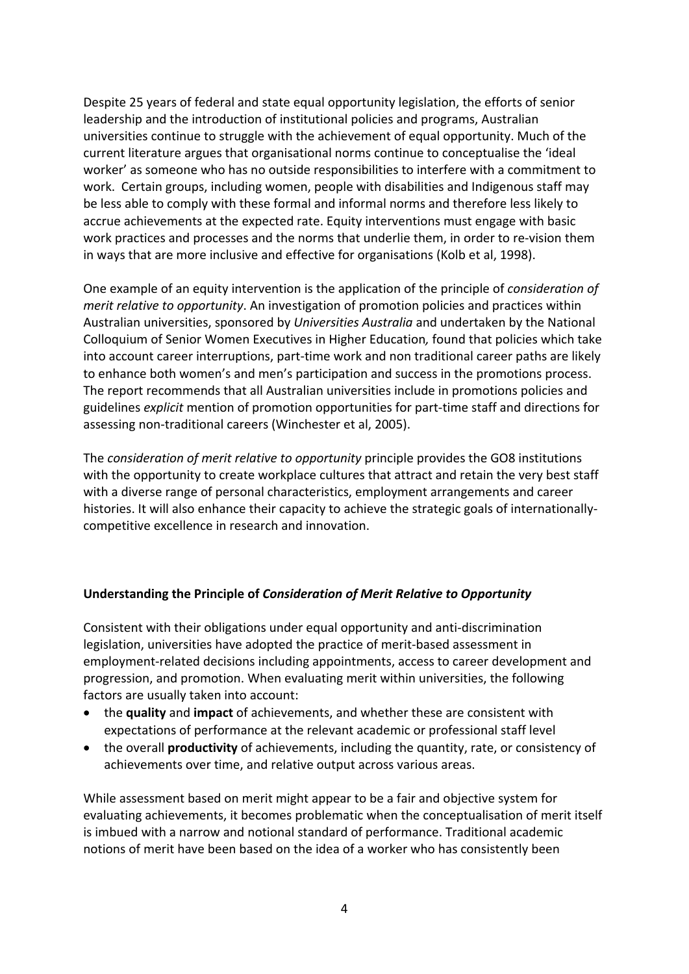Despite 25 years of federal and state equal opportunity legislation, the efforts of senior leadership and the introduction of institutional policies and programs, Australian universities continue to struggle with the achievement of equal opportunity. Much of the current literature argues that organisational norms continue to conceptualise the 'ideal worker' as someone who has no outside responsibilities to interfere with a commitment to work. Certain groups, including women, people with disabilities and Indigenous staff may be less able to comply with these formal and informal norms and therefore less likely to accrue achievements at the expected rate. Equity interventions must engage with basic work practices and processes and the norms that underlie them, in order to re-vision them in ways that are more inclusive and effective for organisations (Kolb et al, 1998).

One example of an equity intervention is the application of the principle of *consideration of merit relative to opportunity*. An investigation of promotion policies and practices within Australian universities, sponsored by *Universities Australia* and undertaken by the National Colloquium of Senior Women Executives in Higher Education*,* found that policies which take into account career interruptions, part-time work and non traditional career paths are likely to enhance both women's and men's participation and success in the promotions process. The report recommends that all Australian universities include in promotions policies and guidelines *explicit* mention of promotion opportunities for part‐time staff and directions for assessing non‐traditional careers (Winchester et al, 2005).

The *consideration of merit relative to opportunity* principle provides the GO8 institutions with the opportunity to create workplace cultures that attract and retain the very best staff with a diverse range of personal characteristics, employment arrangements and career histories. It will also enhance their capacity to achieve the strategic goals of internationally‐ competitive excellence in research and innovation.

### **Understanding the Principle of** *Consideration of Merit Relative to Opportunity*

Consistent with their obligations under equal opportunity and anti‐discrimination legislation, universities have adopted the practice of merit‐based assessment in employment‐related decisions including appointments, access to career development and progression, and promotion. When evaluating merit within universities, the following factors are usually taken into account:

- the **quality** and **impact** of achievements, and whether these are consistent with expectations of performance at the relevant academic or professional staff level
- the overall **productivity** of achievements, including the quantity, rate, or consistency of achievements over time, and relative output across various areas.

While assessment based on merit might appear to be a fair and objective system for evaluating achievements, it becomes problematic when the conceptualisation of merit itself is imbued with a narrow and notional standard of performance. Traditional academic notions of merit have been based on the idea of a worker who has consistently been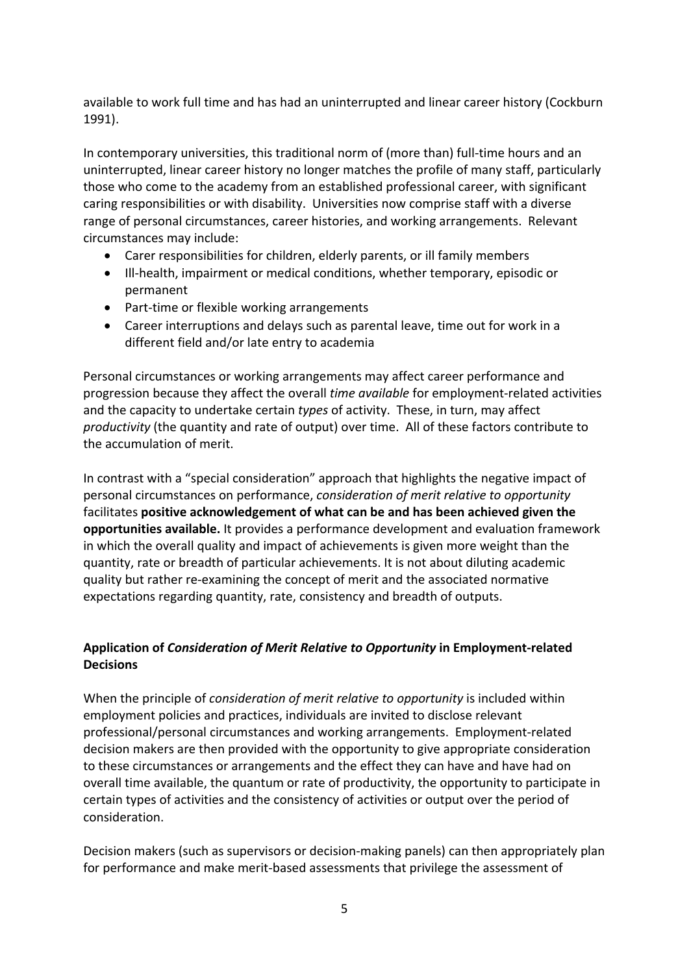available to work full time and has had an uninterrupted and linear career history (Cockburn 1991).

In contemporary universities, this traditional norm of (more than) full-time hours and an uninterrupted, linear career history no longer matches the profile of many staff, particularly those who come to the academy from an established professional career, with significant caring responsibilities or with disability. Universities now comprise staff with a diverse range of personal circumstances, career histories, and working arrangements. Relevant circumstances may include:

- Carer responsibilities for children, elderly parents, or ill family members
- Ill-health, impairment or medical conditions, whether temporary, episodic or permanent
- Part-time or flexible working arrangements
- Career interruptions and delays such as parental leave, time out for work in a different field and/or late entry to academia

Personal circumstances or working arrangements may affect career performance and progression because they affect the overall *time available* for employment‐related activities and the capacity to undertake certain *types* of activity. These, in turn, may affect *productivity* (the quantity and rate of output) over time. All of these factors contribute to the accumulation of merit.

In contrast with a "special consideration" approach that highlights the negative impact of personal circumstances on performance, *consideration of merit relative to opportunity* facilitates **positive acknowledgement of what can be and has been achieved given the opportunities available.** It provides a performance development and evaluation framework in which the overall quality and impact of achievements is given more weight than the quantity, rate or breadth of particular achievements. It is not about diluting academic quality but rather re‐examining the concept of merit and the associated normative expectations regarding quantity, rate, consistency and breadth of outputs.

# **Application of** *Consideration of Merit Relative to Opportunity* **in Employment‐related Decisions**

When the principle of *consideration of merit relative to opportunity* is included within employment policies and practices, individuals are invited to disclose relevant professional/personal circumstances and working arrangements. Employment‐related decision makers are then provided with the opportunity to give appropriate consideration to these circumstances or arrangements and the effect they can have and have had on overall time available, the quantum or rate of productivity, the opportunity to participate in certain types of activities and the consistency of activities or output over the period of consideration.

Decision makers (such as supervisors or decision-making panels) can then appropriately plan for performance and make merit‐based assessments that privilege the assessment of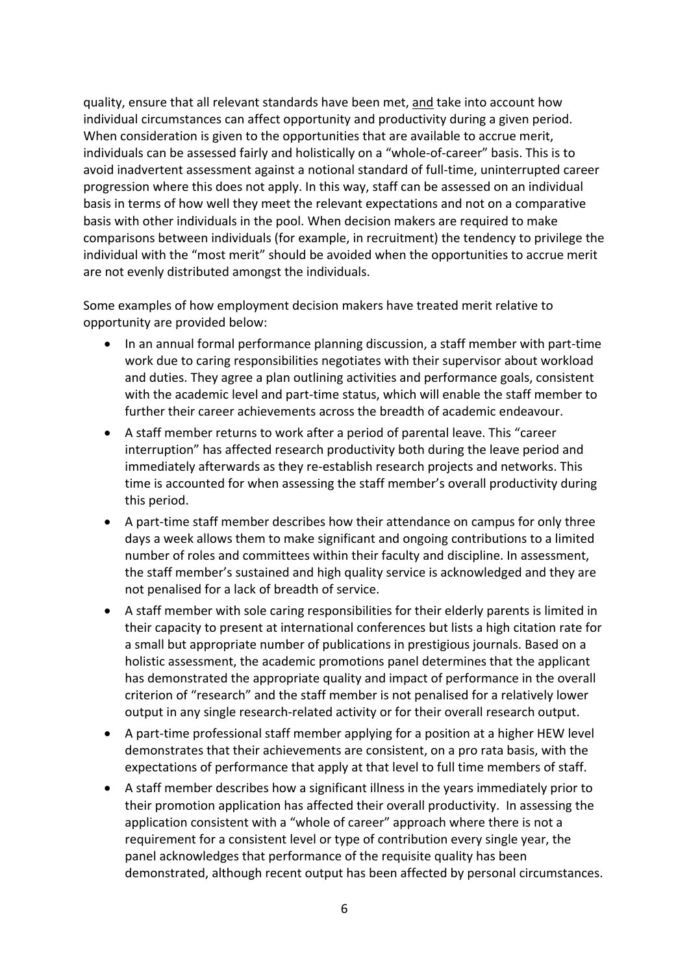quality, ensure that all relevant standards have been met, and take into account how individual circumstances can affect opportunity and productivity during a given period. When consideration is given to the opportunities that are available to accrue merit, individuals can be assessed fairly and holistically on a "whole‐of‐career" basis. This is to avoid inadvertent assessment against a notional standard of full‐time, uninterrupted career progression where this does not apply. In this way, staff can be assessed on an individual basis in terms of how well they meet the relevant expectations and not on a comparative basis with other individuals in the pool. When decision makers are required to make comparisons between individuals (for example, in recruitment) the tendency to privilege the individual with the "most merit" should be avoided when the opportunities to accrue merit are not evenly distributed amongst the individuals.

Some examples of how employment decision makers have treated merit relative to opportunity are provided below:

- In an annual formal performance planning discussion, a staff member with part-time work due to caring responsibilities negotiates with their supervisor about workload and duties. They agree a plan outlining activities and performance goals, consistent with the academic level and part-time status, which will enable the staff member to further their career achievements across the breadth of academic endeavour.
- A staff member returns to work after a period of parental leave. This "career interruption" has affected research productivity both during the leave period and immediately afterwards as they re‐establish research projects and networks. This time is accounted for when assessing the staff member's overall productivity during this period.
- A part-time staff member describes how their attendance on campus for only three days a week allows them to make significant and ongoing contributions to a limited number of roles and committees within their faculty and discipline. In assessment, the staff member's sustained and high quality service is acknowledged and they are not penalised for a lack of breadth of service.
- A staff member with sole caring responsibilities for their elderly parents is limited in their capacity to present at international conferences but lists a high citation rate for a small but appropriate number of publications in prestigious journals. Based on a holistic assessment, the academic promotions panel determines that the applicant has demonstrated the appropriate quality and impact of performance in the overall criterion of "research" and the staff member is not penalised for a relatively lower output in any single research‐related activity or for their overall research output.
- A part-time professional staff member applying for a position at a higher HEW level demonstrates that their achievements are consistent, on a pro rata basis, with the expectations of performance that apply at that level to full time members of staff.
- A staff member describes how a significant illness in the years immediately prior to their promotion application has affected their overall productivity. In assessing the application consistent with a "whole of career" approach where there is not a requirement for a consistent level or type of contribution every single year, the panel acknowledges that performance of the requisite quality has been demonstrated, although recent output has been affected by personal circumstances.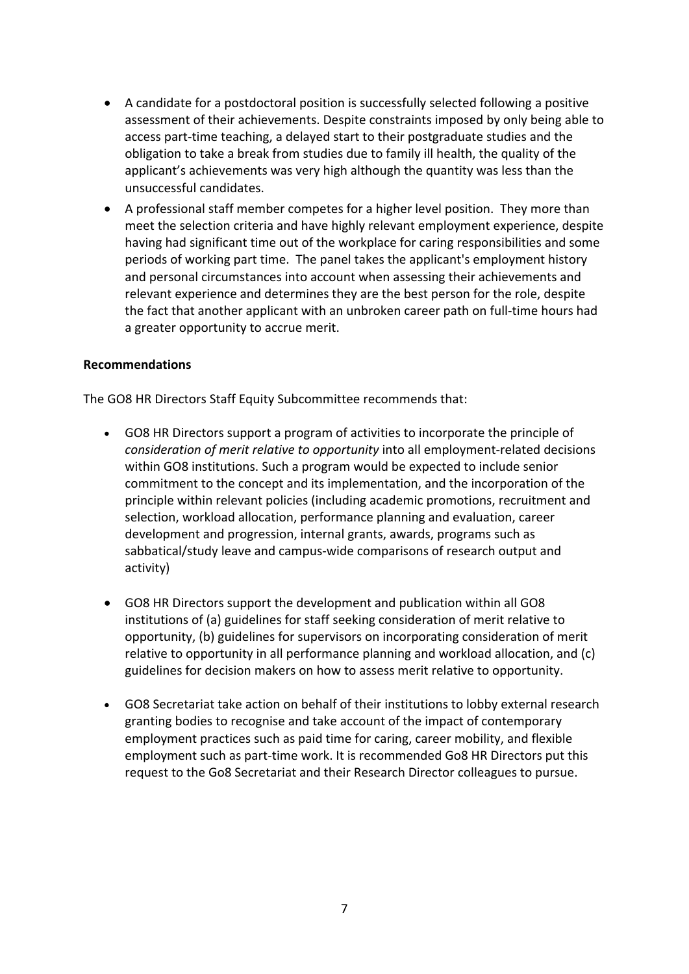- A candidate for a postdoctoral position is successfully selected following a positive assessment of their achievements. Despite constraints imposed by only being able to access part‐time teaching, a delayed start to their postgraduate studies and the obligation to take a break from studies due to family ill health, the quality of the applicant's achievements was very high although the quantity was less than the unsuccessful candidates.
- A professional staff member competes for a higher level position. They more than meet the selection criteria and have highly relevant employment experience, despite having had significant time out of the workplace for caring responsibilities and some periods of working part time. The panel takes the applicant's employment history and personal circumstances into account when assessing their achievements and relevant experience and determines they are the best person for the role, despite the fact that another applicant with an unbroken career path on full‐time hours had a greater opportunity to accrue merit.

### **Recommendations**

The GO8 HR Directors Staff Equity Subcommittee recommends that:

- GO8 HR Directors support a program of activities to incorporate the principle of *consideration of merit relative to opportunity* into all employment‐related decisions within GO8 institutions. Such a program would be expected to include senior commitment to the concept and its implementation, and the incorporation of the principle within relevant policies (including academic promotions, recruitment and selection, workload allocation, performance planning and evaluation, career development and progression, internal grants, awards, programs such as sabbatical/study leave and campus‐wide comparisons of research output and activity)
- GO8 HR Directors support the development and publication within all GO8 institutions of (a) guidelines for staff seeking consideration of merit relative to opportunity, (b) guidelines for supervisors on incorporating consideration of merit relative to opportunity in all performance planning and workload allocation, and (c) guidelines for decision makers on how to assess merit relative to opportunity.
- GO8 Secretariat take action on behalf of their institutions to lobby external research granting bodies to recognise and take account of the impact of contemporary employment practices such as paid time for caring, career mobility, and flexible employment such as part-time work. It is recommended Go8 HR Directors put this request to the Go8 Secretariat and their Research Director colleagues to pursue.